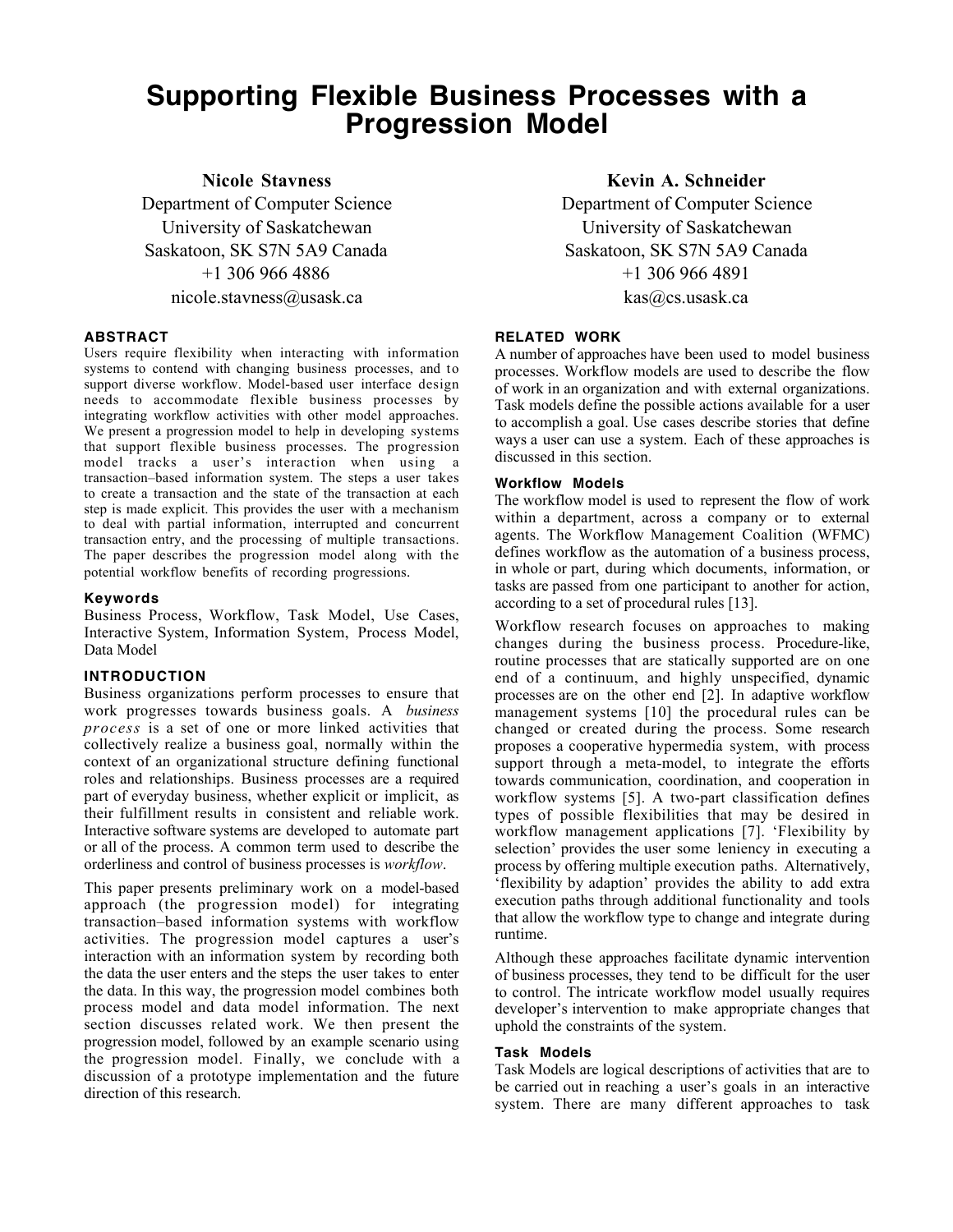# **Supporting Flexible Business Processes with a Progression Model**

**Nicole Stavness**

Department of Computer Science University of Saskatchewan Saskatoon, SK S7N 5A9 Canada +1 306 966 4886 nicole.stavness@usask.ca

# **ABSTRACT**

Users require flexibility when interacting with information systems to contend with changing business processes, and to support diverse workflow. Model-based user interface design needs to accommodate flexible business processes by integrating workflow activities with other model approaches. We present a progression model to help in developing systems that support flexible business processes. The progression model tracks a user's interaction when using a transaction–based information system. The steps a user takes to create a transaction and the state of the transaction at each step is made explicit. This provides the user with a mechanism to deal with partial information, interrupted and concurrent transaction entry, and the processing of multiple transactions. The paper describes the progression model along with the potential workflow benefits of recording progressions.

# **Keywords**

Business Process, Workflow, Task Model, Use Cases, Interactive System, Information System, Process Model, Data Model

# **INTRODUCTION**

Business organizations perform processes to ensure that work progresses towards business goals. A *business process* is a set of one or more linked activities that collectively realize a business goal, normally within the context of an organizational structure defining functional roles and relationships. Business processes are a required part of everyday business, whether explicit or implicit, as their fulfillment results in consistent and reliable work. Interactive software systems are developed to automate part or all of the process. A common term used to describe the orderliness and control of business processes is *workflow*.

This paper presents preliminary work on a model-based approach (the progression model) for integrating transaction–based information systems with workflow activities. The progression model captures a user's interaction with an information system by recording both the data the user enters and the steps the user takes to enter the data. In this way, the progression model combines both process model and data model information. The next section discusses related work. We then present the progression model, followed by an example scenario using the progression model. Finally, we conclude with a discussion of a prototype implementation and the future direction of this research.

**Kevin A. Schneider**

Department of Computer Science University of Saskatchewan Saskatoon, SK S7N 5A9 Canada +1 306 966 4891 kas@cs.usask.ca

# **RELATED WORK**

A number of approaches have been used to model business processes. Workflow models are used to describe the flow of work in an organization and with external organizations. Task models define the possible actions available for a user to accomplish a goal. Use cases describe stories that define ways a user can use a system. Each of these approaches is discussed in this section.

# **Workflow Models**

The workflow model is used to represent the flow of work within a department, across a company or to external agents. The Workflow Management Coalition (WFMC) defines workflow as the automation of a business process, in whole or part, during which documents, information, or tasks are passed from one participant to another for action, according to a set of procedural rules [13].

Workflow research focuses on approaches to making changes during the business process. Procedure-like, routine processes that are statically supported are on one end of a continuum, and highly unspecified, dynamic processes are on the other end [2]. In adaptive workflow management systems [10] the procedural rules can be changed or created during the process. Some research proposes a cooperative hypermedia system, with process support through a meta-model, to integrate the efforts towards communication, coordination, and cooperation in workflow systems [5]. A two-part classification defines types of possible flexibilities that may be desired in workflow management applications [7]. 'Flexibility by selection' provides the user some leniency in executing a process by offering multiple execution paths. Alternatively, 'flexibility by adaption' provides the ability to add extra execution paths through additional functionality and tools that allow the workflow type to change and integrate during runtime.

Although these approaches facilitate dynamic intervention of business processes, they tend to be difficult for the user to control. The intricate workflow model usually requires developer's intervention to make appropriate changes that uphold the constraints of the system.

# **Task Models**

Task Models are logical descriptions of activities that are to be carried out in reaching a user's goals in an interactive system. There are many different approaches to task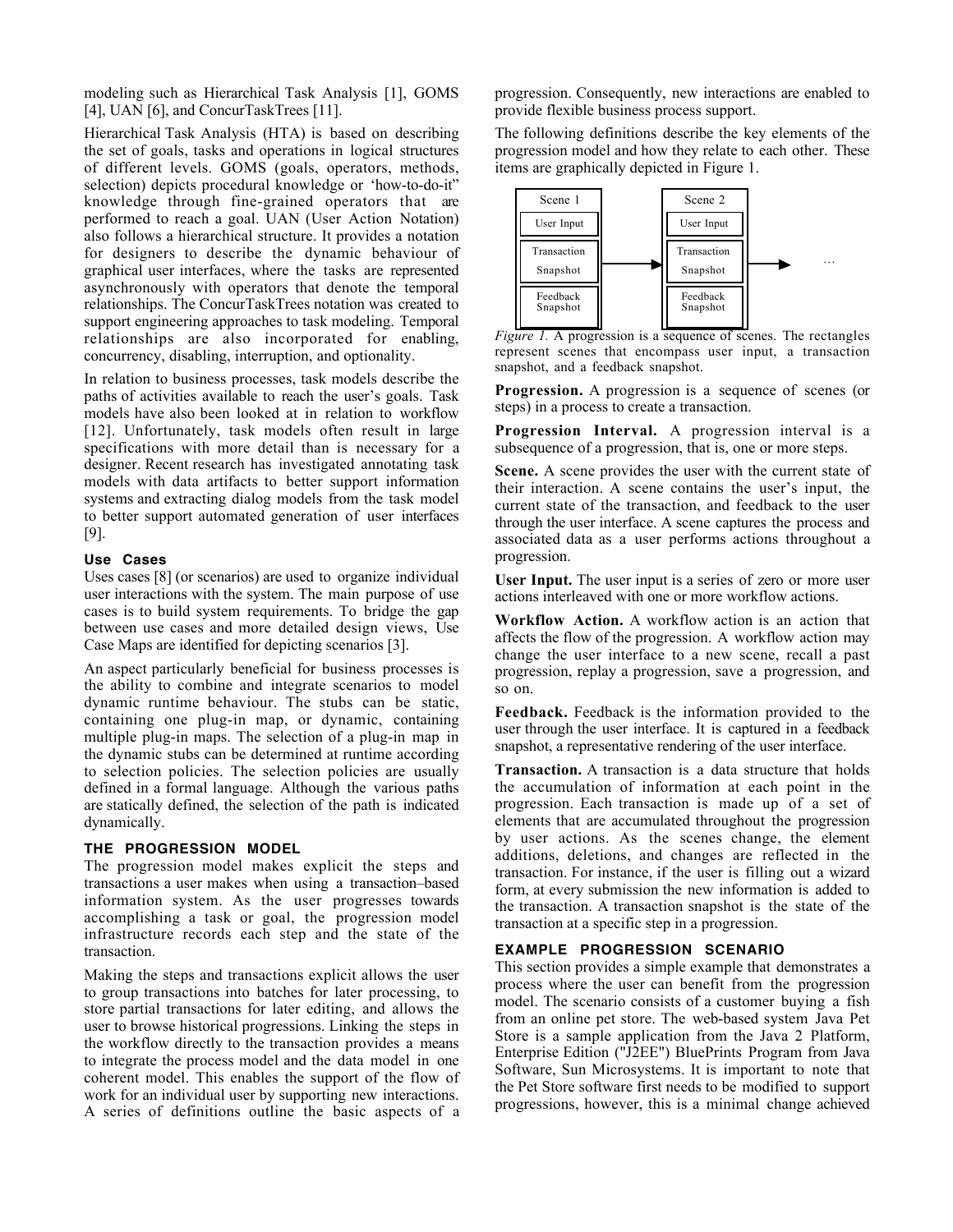modeling such as Hierarchical Task Analysis [1], GOMS [4], UAN [6], and ConcurTaskTrees [11].

Hierarchical Task Analysis (HTA) is based on describing the set of goals, tasks and operations in logical structures of different levels. GOMS (goals, operators, methods, selection) depicts procedural knowledge or 'how-to-do-it" knowledge through fine-grained operators that are performed to reach a goal. UAN (User Action Notation) also follows a hierarchical structure. It provides a notation for designers to describe the dynamic behaviour of graphical user interfaces, where the tasks are represented asynchronously with operators that denote the temporal relationships. The ConcurTaskTrees notation was created to support engineering approaches to task modeling. Temporal relationships are also incorporated for enabling, concurrency, disabling, interruption, and optionality.

In relation to business processes, task models describe the paths of activities available to reach the user's goals. Task models have also been looked at in relation to workflow [12]. Unfortunately, task models often result in large specifications with more detail than is necessary for a designer. Recent research has investigated annotating task models with data artifacts to better support information systems and extracting dialog models from the task model to better support automated generation of user interfaces [9].

# **Use Cases**

Uses cases [8] (or scenarios) are used to organize individual user interactions with the system. The main purpose of use cases is to build system requirements. To bridge the gap between use cases and more detailed design views, Use Case Maps are identified for depicting scenarios [3].

An aspect particularly beneficial for business processes is the ability to combine and integrate scenarios to model dynamic runtime behaviour. The stubs can be static, containing one plug-in map, or dynamic, containing multiple plug-in maps. The selection of a plug-in map in the dynamic stubs can be determined at runtime according to selection policies. The selection policies are usually defined in a formal language. Although the various paths are statically defined, the selection of the path is indicated dynamically.

#### **THE PROGRESSION MODEL**

The progression model makes explicit the steps and transactions a user makes when using a transaction–based information system. As the user progresses towards accomplishing a task or goal, the progression model infrastructure records each step and the state of the transaction.

Making the steps and transactions explicit allows the user to group transactions into batches for later processing, to store partial transactions for later editing, and allows the user to browse historical progressions. Linking the steps in the workflow directly to the transaction provides a means to integrate the process model and the data model in one coherent model. This enables the support of the flow of work for an individual user by supporting new interactions. A series of definitions outline the basic aspects of a progression. Consequently, new interactions are enabled to provide flexible business process support.

The following definitions describe the key elements of the progression model and how they relate to each other. These items are graphically depicted in Figure 1.



*Figure 1.* A progression is a sequence of scenes. The rectangles represent scenes that encompass user input, a transaction snapshot, and a feedback snapshot.

**Progression.** A progression is a sequence of scenes (or steps) in a process to create a transaction.

**Progression Interval.** A progression interval is a subsequence of a progression, that is, one or more steps.

**Scene.** A scene provides the user with the current state of their interaction. A scene contains the user's input, the current state of the transaction, and feedback to the user through the user interface. A scene captures the process and associated data as a user performs actions throughout a progression.

**User Input.** The user input is a series of zero or more user actions interleaved with one or more workflow actions.

**Workflow Action.** A workflow action is an action that affects the flow of the progression. A workflow action may change the user interface to a new scene, recall a past progression, replay a progression, save a progression, and so on.

**Feedback.** Feedback is the information provided to the user through the user interface. It is captured in a feedback snapshot, a representative rendering of the user interface.

**Transaction.** A transaction is a data structure that holds the accumulation of information at each point in the progression. Each transaction is made up of a set of elements that are accumulated throughout the progression by user actions. As the scenes change, the element additions, deletions, and changes are reflected in the transaction. For instance, if the user is filling out a wizard form, at every submission the new information is added to the transaction. A transaction snapshot is the state of the transaction at a specific step in a progression.

# **EXAMPLE PROGRESSION SCENARIO**

This section provides a simple example that demonstrates a process where the user can benefit from the progression model. The scenario consists of a customer buying a fish from an online pet store. The web-based system Java Pet Store is a sample application from the Java 2 Platform, Enterprise Edition ("J2EE") BluePrints Program from Java Software, Sun Microsystems. It is important to note that the Pet Store software first needs to be modified to support progressions, however, this is a minimal change achieved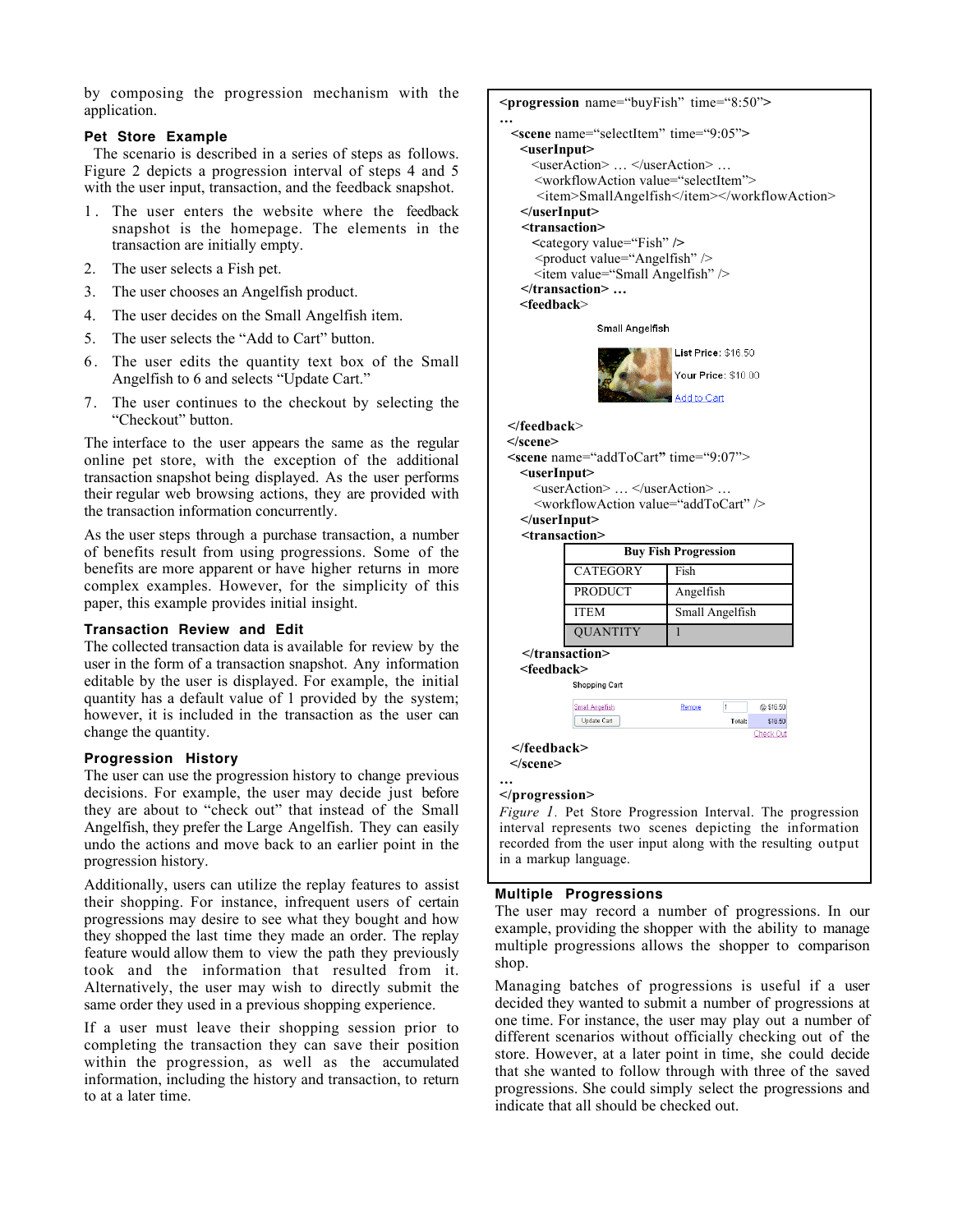by composing the progression mechanism with the application.

# **Pet Store Example**

The scenario is described in a series of steps as follows. Figure 2 depicts a progression interval of steps 4 and 5 with the user input, transaction, and the feedback snapshot.

- 1 . The user enters the website where the feedback snapshot is the homepage. The elements in the transaction are initially empty.
- 2. The user selects a Fish pet.
- 3. The user chooses an Angelfish product.
- 4. The user decides on the Small Angelfish item.
- 5. The user selects the "Add to Cart" button.
- 6 . The user edits the quantity text box of the Small Angelfish to 6 and selects "Update Cart."
- 7. The user continues to the checkout by selecting the "Checkout" button.

The interface to the user appears the same as the regular online pet store, with the exception of the additional transaction snapshot being displayed. As the user performs their regular web browsing actions, they are provided with the transaction information concurrently.

As the user steps through a purchase transaction, a number of benefits result from using progressions. Some of the benefits are more apparent or have higher returns in more complex examples. However, for the simplicity of this paper, this example provides initial insight.

# **Transaction Review and Edit**

The collected transaction data is available for review by the user in the form of a transaction snapshot. Any information editable by the user is displayed. For example, the initial quantity has a default value of 1 provided by the system; however, it is included in the transaction as the user can change the quantity.

# **Progression History**

The user can use the progression history to change previous decisions. For example, the user may decide just before they are about to "check out" that instead of the Small Angelfish, they prefer the Large Angelfish. They can easily undo the actions and move back to an earlier point in the progression history.

Additionally, users can utilize the replay features to assist their shopping. For instance, infrequent users of certain progressions may desire to see what they bought and how they shopped the last time they made an order. The replay feature would allow them to view the path they previously took and the information that resulted from it. Alternatively, the user may wish to directly submit the same order they used in a previous shopping experience.

shop.

If a user must leave their shopping session prior to completing the transaction they can save their position within the progression, as well as the accumulated information, including the history and transaction, to return to at a later time.

```
<progression name="buyFish" time="8:50">
…
   <scene name="selectItem" time="9:05">
     <userInput>
      <userAction> … </userAction> …
       <workflowAction value="selectItem">
      <item>SmallAngelfish</item></workflowAction>
     </userInput>
     <transaction>
       <category value="Fish" />
       <product value="Angelfish" />
       <item value="Small Angelfish" />
     </transaction> …
     <feedback>
                Small Angelfish
                             List Price: $16.50
                             Your Price: $10.00
                              dd to Cart
   </feedback>
  </scene>
   <scene name="addToCart" time="9:07">
     <userInput>
       <userAction> … </userAction> …
       <workflowAction value="addToCart" />
     </userInput>
     <transaction>
                    Buy Fish Progression
            CATEGORY Fish
            PRODUCT Angelfish
            ITEM Small Angelfish
            OUANTITY
     </transaction>
     <feedback>
            Shopping Cart
            Small Angelfish
                              Remove
                                           @$16.50
            Update Cart
                                          $16.50
                                      Total:
                                         Check Out
   </feedback>
   </scene>
…
</progression>
Figure 1. Pet Store Progression Interval. The progression
interval represents two scenes depicting the information
recorded from the user input along with the resulting output
in a markup language.Multiple Progressions
The user may record a number of progressions. In our
example, providing the shopper with the ability to manage
multiple progressions allows the shopper to comparison
```
Managing batches of progressions is useful if a user decided they wanted to submit a number of progressions at one time. For instance, the user may play out a number of different scenarios without officially checking out of the store. However, at a later point in time, she could decide that she wanted to follow through with three of the saved progressions. She could simply select the progressions and

indicate that all should be checked out.